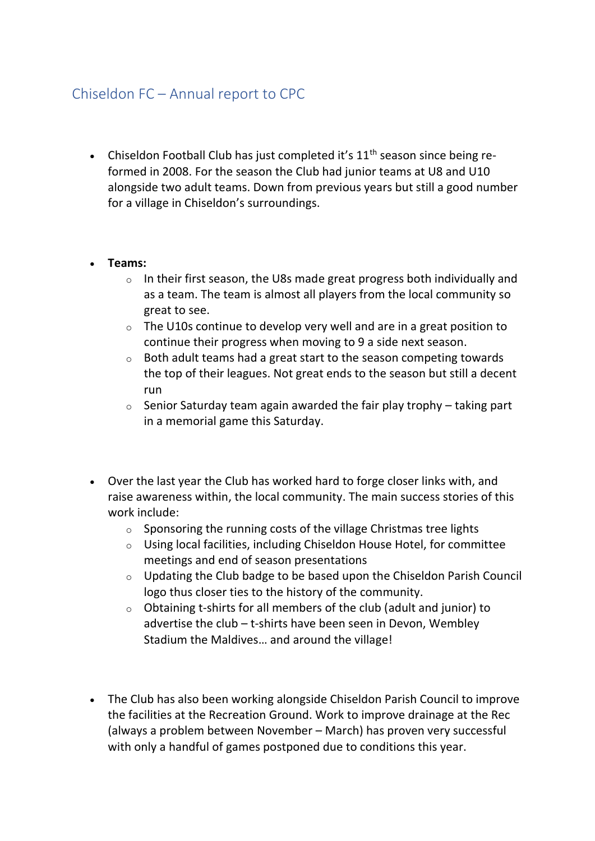## Chiseldon FC – Annual report to CPC

• Chiseldon Football Club has just completed it's  $11<sup>th</sup>$  season since being reformed in 2008. For the season the Club had junior teams at U8 and U10 alongside two adult teams. Down from previous years but still a good number for a village in Chiseldon's surroundings.

## • **Teams:**

- o In their first season, the U8s made great progress both individually and as a team. The team is almost all players from the local community so great to see.
- o The U10s continue to develop very well and are in a great position to continue their progress when moving to 9 a side next season.
- o Both adult teams had a great start to the season competing towards the top of their leagues. Not great ends to the season but still a decent run
- $\circ$  Senior Saturday team again awarded the fair play trophy taking part in a memorial game this Saturday.
- Over the last year the Club has worked hard to forge closer links with, and raise awareness within, the local community. The main success stories of this work include:
	- $\circ$  Sponsoring the running costs of the village Christmas tree lights
	- o Using local facilities, including Chiseldon House Hotel, for committee meetings and end of season presentations
	- o Updating the Club badge to be based upon the Chiseldon Parish Council logo thus closer ties to the history of the community.
	- o Obtaining t-shirts for all members of the club (adult and junior) to advertise the club – t-shirts have been seen in Devon, Wembley Stadium the Maldives… and around the village!
- The Club has also been working alongside Chiseldon Parish Council to improve the facilities at the Recreation Ground. Work to improve drainage at the Rec (always a problem between November – March) has proven very successful with only a handful of games postponed due to conditions this year.